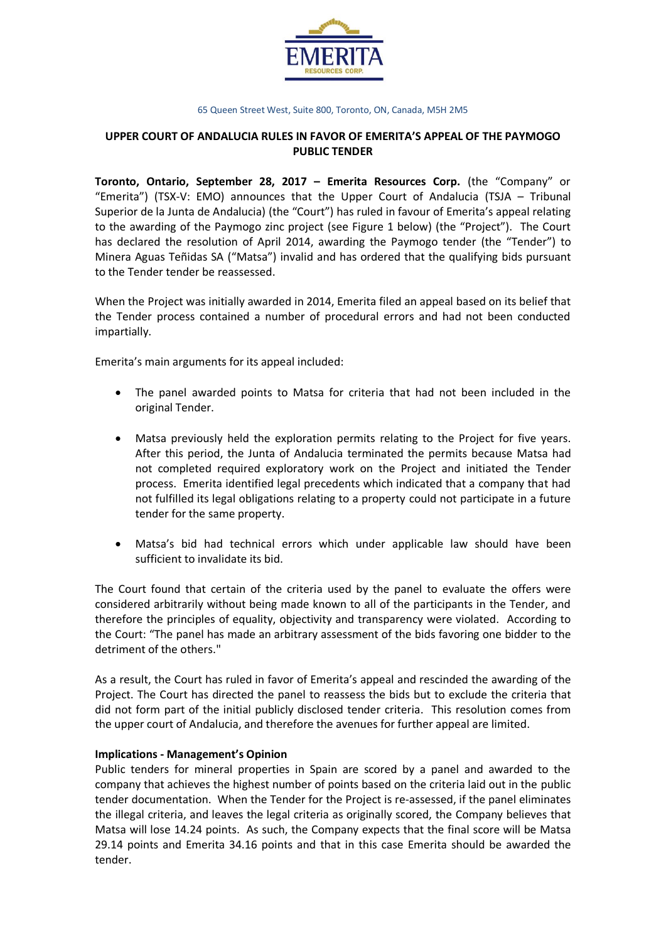

# **UPPER COURT OF ANDALUCIA RULES IN FAVOR OF EMERITA'S APPEAL OF THE PAYMOGO PUBLIC TENDER**

**Toronto, Ontario, September 28, 2017 – Emerita Resources Corp.** (the "Company" or "Emerita") (TSX-V: EMO) announces that the Upper Court of Andalucia (TSJA – Tribunal Superior de la Junta de Andalucia) (the "Court") has ruled in favour of Emerita's appeal relating to the awarding of the Paymogo zinc project (see Figure 1 below) (the "Project"). The Court has declared the resolution of April 2014, awarding the Paymogo tender (the "Tender") to Minera Aguas Teñidas SA ("Matsa") invalid and has ordered that the qualifying bids pursuant to the Tender tender be reassessed.

When the Project was initially awarded in 2014, Emerita filed an appeal based on its belief that the Tender process contained a number of procedural errors and had not been conducted impartially.

Emerita's main arguments for its appeal included:

- The panel awarded points to Matsa for criteria that had not been included in the original Tender.
- Matsa previously held the exploration permits relating to the Project for five years. After this period, the Junta of Andalucia terminated the permits because Matsa had not completed required exploratory work on the Project and initiated the Tender process. Emerita identified legal precedents which indicated that a company that had not fulfilled its legal obligations relating to a property could not participate in a future tender for the same property.
- Matsa's bid had technical errors which under applicable law should have been sufficient to invalidate its bid.

The Court found that certain of the criteria used by the panel to evaluate the offers were considered arbitrarily without being made known to all of the participants in the Tender, and therefore the principles of equality, objectivity and transparency were violated. According to the Court: "The panel has made an arbitrary assessment of the bids favoring one bidder to the detriment of the others."

As a result, the Court has ruled in favor of Emerita's appeal and rescinded the awarding of the Project. The Court has directed the panel to reassess the bids but to exclude the criteria that did not form part of the initial publicly disclosed tender criteria. This resolution comes from the upper court of Andalucia, and therefore the avenues for further appeal are limited.

### **Implications - Management's Opinion**

Public tenders for mineral properties in Spain are scored by a panel and awarded to the company that achieves the highest number of points based on the criteria laid out in the public tender documentation. When the Tender for the Project is re-assessed, if the panel eliminates the illegal criteria, and leaves the legal criteria as originally scored, the Company believes that Matsa will lose 14.24 points. As such, the Company expects that the final score will be Matsa 29.14 points and Emerita 34.16 points and that in this case Emerita should be awarded the tender.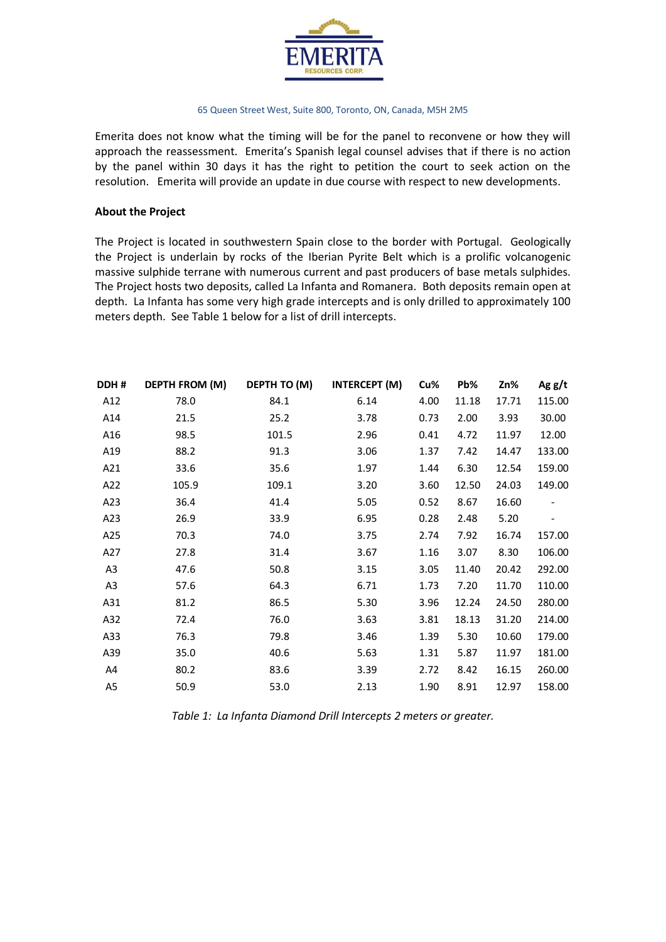

Emerita does not know what the timing will be for the panel to reconvene or how they will approach the reassessment. Emerita's Spanish legal counsel advises that if there is no action by the panel within 30 days it has the right to petition the court to seek action on the resolution. Emerita will provide an update in due course with respect to new developments.

### **About the Project**

The Project is located in southwestern Spain close to the border with Portugal. Geologically the Project is underlain by rocks of the Iberian Pyrite Belt which is a prolific volcanogenic massive sulphide terrane with numerous current and past producers of base metals sulphides. The Project hosts two deposits, called La Infanta and Romanera. Both deposits remain open at depth. La Infanta has some very high grade intercepts and is only drilled to approximately 100 meters depth. See Table 1 below for a list of drill intercepts.

| DDH #          | <b>DEPTH FROM (M)</b> | DEPTH TO (M) | <b>INTERCEPT (M)</b> | Cu%  | Pb%   | Zn%   | Ag $g/t$ |
|----------------|-----------------------|--------------|----------------------|------|-------|-------|----------|
| A12            | 78.0                  | 84.1         | 6.14                 | 4.00 | 11.18 | 17.71 | 115.00   |
| A14            | 21.5                  | 25.2         | 3.78                 | 0.73 | 2.00  | 3.93  | 30.00    |
| A16            | 98.5                  | 101.5        | 2.96                 | 0.41 | 4.72  | 11.97 | 12.00    |
| A19            | 88.2                  | 91.3         | 3.06                 | 1.37 | 7.42  | 14.47 | 133.00   |
| A21            | 33.6                  | 35.6         | 1.97                 | 1.44 | 6.30  | 12.54 | 159.00   |
| A22            | 105.9                 | 109.1        | 3.20                 | 3.60 | 12.50 | 24.03 | 149.00   |
| A23            | 36.4                  | 41.4         | 5.05                 | 0.52 | 8.67  | 16.60 |          |
| A23            | 26.9                  | 33.9         | 6.95                 | 0.28 | 2.48  | 5.20  |          |
| A25            | 70.3                  | 74.0         | 3.75                 | 2.74 | 7.92  | 16.74 | 157.00   |
| A27            | 27.8                  | 31.4         | 3.67                 | 1.16 | 3.07  | 8.30  | 106.00   |
| A <sub>3</sub> | 47.6                  | 50.8         | 3.15                 | 3.05 | 11.40 | 20.42 | 292.00   |
| A <sub>3</sub> | 57.6                  | 64.3         | 6.71                 | 1.73 | 7.20  | 11.70 | 110.00   |
| A31            | 81.2                  | 86.5         | 5.30                 | 3.96 | 12.24 | 24.50 | 280.00   |
| A32            | 72.4                  | 76.0         | 3.63                 | 3.81 | 18.13 | 31.20 | 214.00   |
| A33            | 76.3                  | 79.8         | 3.46                 | 1.39 | 5.30  | 10.60 | 179.00   |
| A39            | 35.0                  | 40.6         | 5.63                 | 1.31 | 5.87  | 11.97 | 181.00   |
| A4             | 80.2                  | 83.6         | 3.39                 | 2.72 | 8.42  | 16.15 | 260.00   |
| A5             | 50.9                  | 53.0         | 2.13                 | 1.90 | 8.91  | 12.97 | 158.00   |

*Table 1: La Infanta Diamond Drill Intercepts 2 meters or greater.*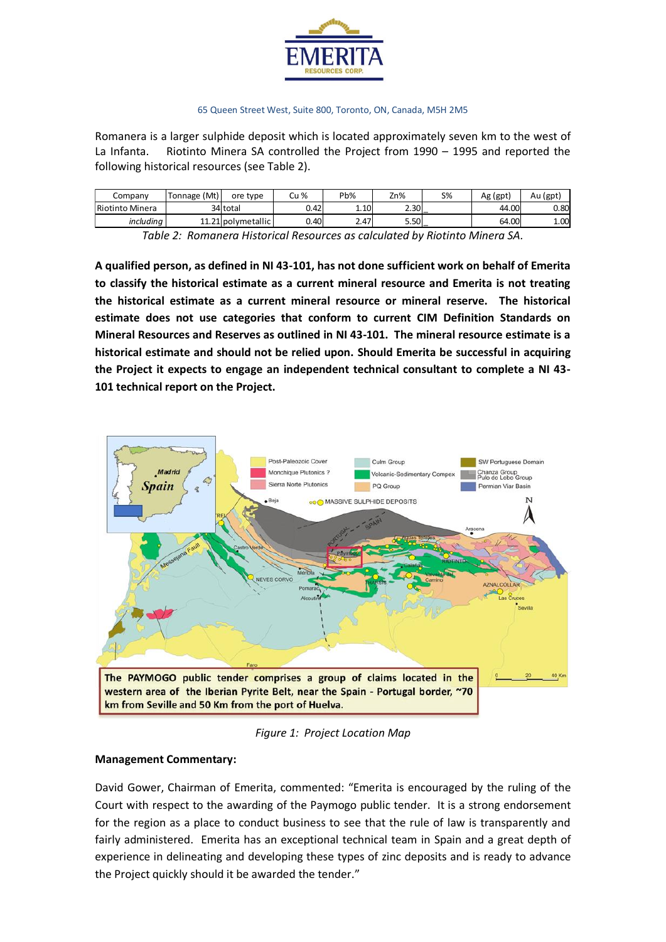

Romanera is a larger sulphide deposit which is located approximately seven km to the west of La Infanta. Riotinto Minera SA controlled the Project from 1990 – 1995 and reported the following historical resources (see Table 2).

| Company         | (Mt)<br>Tonnage | ore type           | Cu % | Pb%  | Zn%  | <b>S%</b>     | Ag (gpt) | Au (gpt) |
|-----------------|-----------------|--------------------|------|------|------|---------------|----------|----------|
| Riotinto Minera |                 | 34 total           | 0.42 | 1.10 | 2.30 |               | 44.00    | 0.80     |
| includina       |                 | 11.21 polymetallic | 0.40 | 2.47 | 5.50 |               | 64.00    | 1.00     |
| _               | $\sim$<br>$-$   |                    |      |      | .    | $ -$<br>_____ | .<br>$-$ |          |

*Table 2: Romanera Historical Resources as calculated by Riotinto Minera SA.*

**A qualified person, as defined in NI 43-101, has not done sufficient work on behalf of Emerita to classify the historical estimate as a current mineral resource and Emerita is not treating the historical estimate as a current mineral resource or mineral reserve. The historical estimate does not use categories that conform to current CIM Definition Standards on Mineral Resources and Reserves as outlined in NI 43-101. The mineral resource estimate is a historical estimate and should not be relied upon. Should Emerita be successful in acquiring the Project it expects to engage an independent technical consultant to complete a NI 43- 101 technical report on the Project.** 



*Figure 1: Project Location Map*

# **Management Commentary:**

David Gower, Chairman of Emerita, commented: "Emerita is encouraged by the ruling of the Court with respect to the awarding of the Paymogo public tender. It is a strong endorsement for the region as a place to conduct business to see that the rule of law is transparently and fairly administered. Emerita has an exceptional technical team in Spain and a great depth of experience in delineating and developing these types of zinc deposits and is ready to advance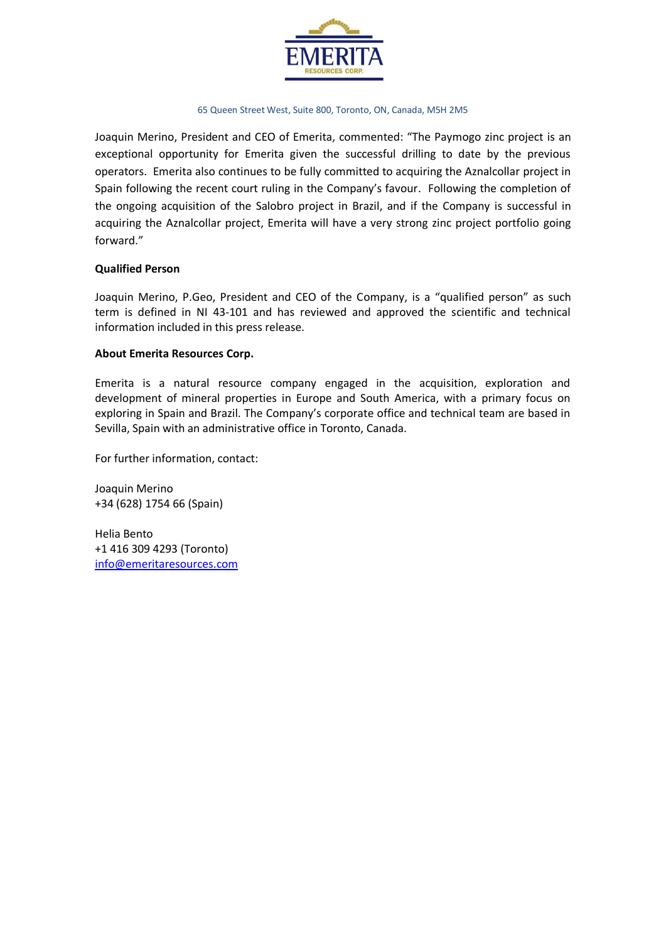

Joaquin Merino, President and CEO of Emerita, commented: "The Paymogo zinc project is an exceptional opportunity for Emerita given the successful drilling to date by the previous operators. Emerita also continues to be fully committed to acquiring the Aznalcollar project in Spain following the recent court ruling in the Company's favour. Following the completion of the ongoing acquisition of the Salobro project in Brazil, and if the Company is successful in acquiring the Aznalcollar project, Emerita will have a very strong zinc project portfolio going forward."

# **Qualified Person**

Joaquin Merino, P.Geo, President and CEO of the Company, is a "qualified person" as such term is defined in NI 43-101 and has reviewed and approved the scientific and technical information included in this press release.

# **About Emerita Resources Corp.**

Emerita is a natural resource company engaged in the acquisition, exploration and development of mineral properties in Europe and South America, with a primary focus on exploring in Spain and Brazil. The Company's corporate office and technical team are based in Sevilla, Spain with an administrative office in Toronto, Canada.

For further information, contact:

Joaquin Merino +34 (628) 1754 66 (Spain)

Helia Bento +1 416 309 4293 (Toronto) [info@emeritaresources.com](mailto:info@emeritaresources.com)